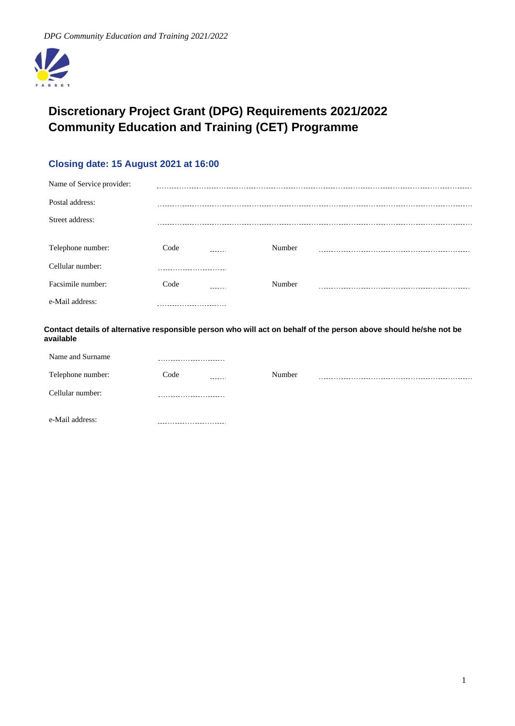

# **Discretionary Project Grant (DPG) Requirements 2021/2022 Community Education and Training (CET) Programme**

# **Closing date: 15 August 2021 at 16:00**

| Name of Service provider: |      |        |  |
|---------------------------|------|--------|--|
| Postal address:           |      |        |  |
| Street address:           |      |        |  |
|                           |      |        |  |
| Telephone number:         | Code | Number |  |
| Cellular number:          |      |        |  |
| Facsimile number:         | Code | Number |  |
| e-Mail address:           |      |        |  |
|                           |      |        |  |

**Contact details of alternative responsible person who will act on behalf of the person above should he/she not be available**

| Name and Surname  |                 |        |  |
|-------------------|-----------------|--------|--|
| Telephone number: | Code<br>------- | Number |  |
| Cellular number:  | --------        |        |  |
| e-Mail address:   |                 |        |  |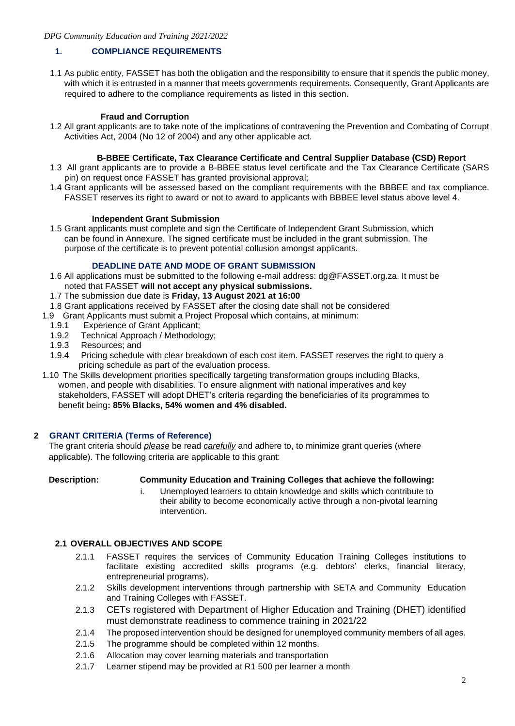# **1. COMPLIANCE REQUIREMENTS**

1.1 As public entity, FASSET has both the obligation and the responsibility to ensure that it spends the public money, with which it is entrusted in a manner that meets governments requirements. Consequently, Grant Applicants are required to adhere to the compliance requirements as listed in this section.

# **Fraud and Corruption**

1.2 All grant applicants are to take note of the implications of contravening the Prevention and Combating of Corrupt Activities Act, 2004 (No 12 of 2004) and any other applicable act.

### **B-BBEE Certificate, Tax Clearance Certificate and Central Supplier Database (CSD) Report**

- 1.3 All grant applicants are to provide a B-BBEE status level certificate and the Tax Clearance Certificate (SARS pin) on request once FASSET has granted provisional approval;
- 1.4 Grant applicants will be assessed based on the compliant requirements with the BBBEE and tax compliance. FASSET reserves its right to award or not to award to applicants with BBBEE level status above level 4.

#### **Independent Grant Submission**

1.5 Grant applicants must complete and sign the Certificate of Independent Grant Submission, which can be found in Annexure. The signed certificate must be included in the grant submission. The purpose of the certificate is to prevent potential collusion amongst applicants.

#### **DEADLINE DATE AND MODE OF GRANT SUBMISSION**

- 1.6 All applications must be submitted to the following e-mail address: dg@FASSET.org.za. It must be noted that FASSET **will not accept any physical submissions.**
- 1.7 The submission due date is **Friday, 13 August 2021 at 16:00**
- 1.8 Grant applications received by FASSET after the closing date shall not be considered
- 1.9 Grant Applicants must submit a Project Proposal which contains, at minimum:
	- 1.9.1 Experience of Grant Applicant;
	- 1.9.2 Technical Approach / Methodology;
	- 1.9.3 Resources; and
	- 1.9.4 Pricing schedule with clear breakdown of each cost item. FASSET reserves the right to query a pricing schedule as part of the evaluation process.
- 1.10 The Skills development priorities specifically targeting transformation groups including Blacks, women, and people with disabilities. To ensure alignment with national imperatives and key stakeholders, FASSET will adopt DHET's criteria regarding the beneficiaries of its programmes to benefit being**: 85% Blacks, 54% women and 4% disabled.**

#### **2 GRANT CRITERIA (Terms of Reference)**

The grant criteria should *please* be read *carefully* and adhere to, to minimize grant queries (where applicable). The following criteria are applicable to this grant:

# **Description: Community Education and Training Colleges that achieve the following:**

Unemployed learners to obtain knowledge and skills which contribute to their ability to become economically active through a non-pivotal learning intervention.

# **2.1 OVERALL OBJECTIVES AND SCOPE**

- 2.1.1 FASSET requires the services of Community Education Training Colleges institutions to facilitate existing accredited skills programs (e.g. debtors' clerks, financial literacy, entrepreneurial programs).
- 2.1.2 Skills development interventions through partnership with SETA and Community Education and Training Colleges with FASSET.
- 2.1.3 CETs registered with Department of Higher Education and Training (DHET) identified must demonstrate readiness to commence training in 2021/22
- 2.1.4 The proposed intervention should be designed for unemployed community members of all ages.
- 2.1.5 The programme should be completed within 12 months.
- 2.1.6 Allocation may cover learning materials and transportation
- 2.1.7 Learner stipend may be provided at R1 500 per learner a month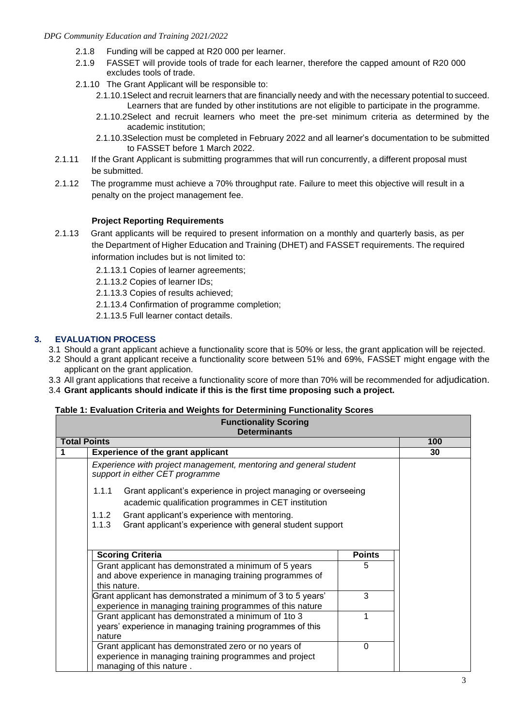#### *DPG Community Education and Training 2021/2022*

- 2.1.8 Funding will be capped at R20 000 per learner.
- 2.1.9 FASSET will provide tools of trade for each learner, therefore the capped amount of R20 000 excludes tools of trade.
- 2.1.10 The Grant Applicant will be responsible to:
	- 2.1.10.1Select and recruit learners that are financially needy and with the necessary potential to succeed. Learners that are funded by other institutions are not eligible to participate in the programme.
	- 2.1.10.2Select and recruit learners who meet the pre-set minimum criteria as determined by the academic institution;
	- 2.1.10.3Selection must be completed in February 2022 and all learner's documentation to be submitted to FASSET before 1 March 2022.
- 2.1.11 If the Grant Applicant is submitting programmes that will run concurrently, a different proposal must be submitted.
- 2.1.12 The programme must achieve a 70% throughput rate. Failure to meet this objective will result in a penalty on the project management fee.

# **Project Reporting Requirements**

2.1.13 Grant applicants will be required to present information on a monthly and quarterly basis, as per the Department of Higher Education and Training (DHET) and FASSET requirements. The required information includes but is not limited to:

2.1.13.1 Copies of learner agreements;

2.1.13.2 Copies of learner IDs;

2.1.13.3 Copies of results achieved;

2.1.13.4 Confirmation of programme completion;

2.1.13.5 Full learner contact details.

# **3. EVALUATION PROCESS**

- 3.1 Should a grant applicant achieve a functionality score that is 50% or less, the grant application will be rejected.
- 3.2 Should a grant applicant receive a functionality score between 51% and 69%, FASSET might engage with the applicant on the grant application.
- 3.3 All grant applications that receive a functionality score of more than 70% will be recommended for adjudication.
- 3.4 **Grant applicants should indicate if this is the first time proposing such a project.**

#### **Table 1: Evaluation Criteria and Weights for Determining Functionality Scores**

|                     | <b>Functionality Scoring</b><br><b>Determinants</b>                                                                                        |               |     |
|---------------------|--------------------------------------------------------------------------------------------------------------------------------------------|---------------|-----|
| <b>Total Points</b> |                                                                                                                                            |               | 100 |
|                     | <b>Experience of the grant applicant</b>                                                                                                   |               | 30  |
|                     | Experience with project management, mentoring and general student<br>support in either CET programme                                       |               |     |
|                     | 1.1.1<br>Grant applicant's experience in project managing or overseeing<br>academic qualification programmes in CET institution            |               |     |
|                     | 1.1.2<br>Grant applicant's experience with mentoring.<br>Grant applicant's experience with general student support<br>1.1.3                |               |     |
|                     | <b>Scoring Criteria</b>                                                                                                                    | <b>Points</b> |     |
|                     | Grant applicant has demonstrated a minimum of 5 years<br>and above experience in managing training programmes of<br>this nature.           | 5             |     |
|                     | Grant applicant has demonstrated a minimum of 3 to 5 years'<br>experience in managing training programmes of this nature                   | 3             |     |
|                     | Grant applicant has demonstrated a minimum of 1to 3<br>years' experience in managing training programmes of this<br>nature                 |               |     |
|                     | Grant applicant has demonstrated zero or no years of<br>experience in managing training programmes and project<br>managing of this nature. | 0             |     |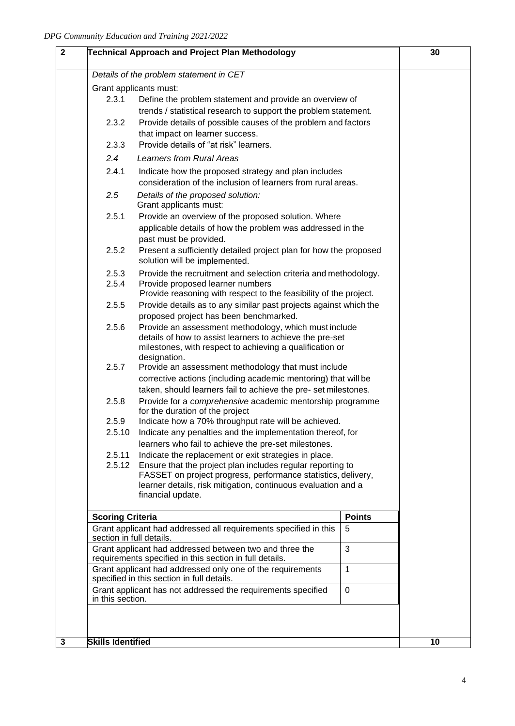|                          | Technical Approach and Project Plan Methodology                                                                             |               | 30 |
|--------------------------|-----------------------------------------------------------------------------------------------------------------------------|---------------|----|
|                          | Details of the problem statement in CET                                                                                     |               |    |
|                          | Grant applicants must:                                                                                                      |               |    |
| 2.3.1                    | Define the problem statement and provide an overview of                                                                     |               |    |
|                          | trends / statistical research to support the problem statement.                                                             |               |    |
| 2.3.2                    | Provide details of possible causes of the problem and factors                                                               |               |    |
|                          | that impact on learner success.                                                                                             |               |    |
| 2.3.3                    | Provide details of "at risk" learners.                                                                                      |               |    |
| 2.4                      | <b>Learners from Rural Areas</b>                                                                                            |               |    |
| 2.4.1                    | Indicate how the proposed strategy and plan includes                                                                        |               |    |
|                          | consideration of the inclusion of learners from rural areas.                                                                |               |    |
| 2.5                      | Details of the proposed solution:                                                                                           |               |    |
|                          | Grant applicants must:                                                                                                      |               |    |
| 2.5.1                    | Provide an overview of the proposed solution. Where                                                                         |               |    |
|                          | applicable details of how the problem was addressed in the                                                                  |               |    |
|                          | past must be provided.                                                                                                      |               |    |
| 2.5.2                    | Present a sufficiently detailed project plan for how the proposed                                                           |               |    |
|                          | solution will be implemented.                                                                                               |               |    |
| 2.5.3<br>2.5.4           | Provide the recruitment and selection criteria and methodology.<br>Provide proposed learner numbers                         |               |    |
|                          | Provide reasoning with respect to the feasibility of the project.                                                           |               |    |
| 2.5.5                    | Provide details as to any similar past projects against which the                                                           |               |    |
|                          | proposed project has been benchmarked.                                                                                      |               |    |
| 2.5.6                    | Provide an assessment methodology, which must include                                                                       |               |    |
|                          | details of how to assist learners to achieve the pre-set                                                                    |               |    |
|                          | milestones, with respect to achieving a qualification or                                                                    |               |    |
| 2.5.7                    | designation.<br>Provide an assessment methodology that must include                                                         |               |    |
|                          | corrective actions (including academic mentoring) that will be                                                              |               |    |
|                          | taken, should learners fail to achieve the pre-set milestones.                                                              |               |    |
| 2.5.8                    | Provide for a comprehensive academic mentorship programme                                                                   |               |    |
|                          | for the duration of the project                                                                                             |               |    |
| 2.5.9                    | Indicate how a 70% throughput rate will be achieved.                                                                        |               |    |
| 2.5.10                   | Indicate any penalties and the implementation thereof, for                                                                  |               |    |
|                          | learners who fail to achieve the pre-set milestones.                                                                        |               |    |
| 2.5.11                   | Indicate the replacement or exit strategies in place.                                                                       |               |    |
| 2.5.12                   | Ensure that the project plan includes regular reporting to<br>FASSET on project progress, performance statistics, delivery, |               |    |
|                          | learner details, risk mitigation, continuous evaluation and a                                                               |               |    |
|                          | financial update.                                                                                                           |               |    |
| <b>Scoring Criteria</b>  |                                                                                                                             | <b>Points</b> |    |
|                          | Grant applicant had addressed all requirements specified in this                                                            | 5             |    |
| section in full details. |                                                                                                                             |               |    |
|                          | Grant applicant had addressed between two and three the                                                                     | 3             |    |
|                          | requirements specified in this section in full details.                                                                     |               |    |
|                          | Grant applicant had addressed only one of the requirements<br>specified in this section in full details.                    | $\mathbf{1}$  |    |
|                          | Grant applicant has not addressed the requirements specified                                                                | $\mathbf 0$   |    |
| in this section.         |                                                                                                                             |               |    |
|                          |                                                                                                                             |               |    |
|                          |                                                                                                                             |               |    |
|                          |                                                                                                                             |               | 10 |
| <b>Skills Identified</b> |                                                                                                                             |               |    |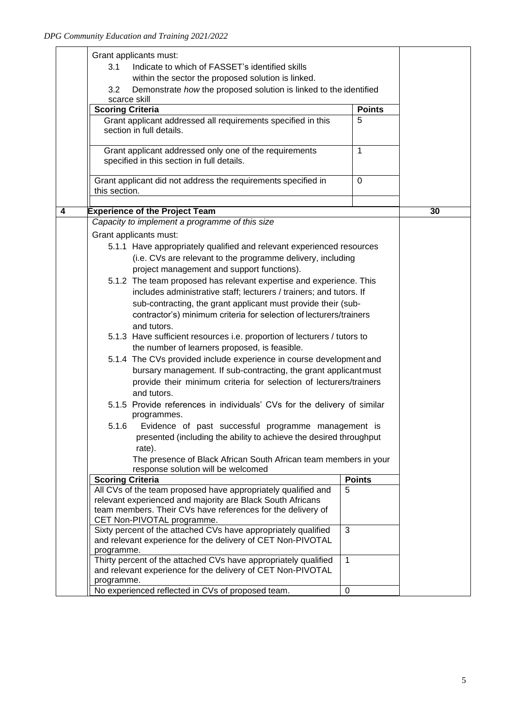|   | Grant applicants must:                                                                                                    |               |    |
|---|---------------------------------------------------------------------------------------------------------------------------|---------------|----|
|   | Indicate to which of FASSET's identified skills<br>3.1                                                                    |               |    |
|   | within the sector the proposed solution is linked.                                                                        |               |    |
|   | 3.2<br>Demonstrate how the proposed solution is linked to the identified                                                  |               |    |
|   | scarce skill                                                                                                              |               |    |
|   | <b>Scoring Criteria</b>                                                                                                   | <b>Points</b> |    |
|   | Grant applicant addressed all requirements specified in this                                                              | 5             |    |
|   | section in full details.                                                                                                  |               |    |
|   |                                                                                                                           |               |    |
|   | Grant applicant addressed only one of the requirements                                                                    | $\mathbf{1}$  |    |
|   | specified in this section in full details.                                                                                |               |    |
|   |                                                                                                                           |               |    |
|   | Grant applicant did not address the requirements specified in                                                             | $\Omega$      |    |
|   | this section.                                                                                                             |               |    |
|   |                                                                                                                           |               |    |
| 4 | <b>Experience of the Project Team</b>                                                                                     |               | 30 |
|   | Capacity to implement a programme of this size                                                                            |               |    |
|   | Grant applicants must:                                                                                                    |               |    |
|   | 5.1.1 Have appropriately qualified and relevant experienced resources                                                     |               |    |
|   | (i.e. CVs are relevant to the programme delivery, including                                                               |               |    |
|   | project management and support functions).                                                                                |               |    |
|   | 5.1.2 The team proposed has relevant expertise and experience. This                                                       |               |    |
|   | includes administrative staff; lecturers / trainers; and tutors. If                                                       |               |    |
|   | sub-contracting, the grant applicant must provide their (sub-                                                             |               |    |
|   | contractor's) minimum criteria for selection of lecturers/trainers                                                        |               |    |
|   | and tutors.                                                                                                               |               |    |
|   | 5.1.3 Have sufficient resources i.e. proportion of lecturers / tutors to                                                  |               |    |
|   | the number of learners proposed, is feasible.                                                                             |               |    |
|   | 5.1.4 The CVs provided include experience in course development and                                                       |               |    |
|   |                                                                                                                           |               |    |
|   | bursary management. If sub-contracting, the grant applicantmust                                                           |               |    |
|   | provide their minimum criteria for selection of lecturers/trainers                                                        |               |    |
|   | and tutors.                                                                                                               |               |    |
|   | 5.1.5 Provide references in individuals' CVs for the delivery of similar                                                  |               |    |
|   | programmes.                                                                                                               |               |    |
|   | 5.1.6<br>Evidence of past successful programme management is                                                              |               |    |
|   | presented (including the ability to achieve the desired throughput                                                        |               |    |
|   | rate).                                                                                                                    |               |    |
|   | The presence of Black African South African team members in your                                                          |               |    |
|   | response solution will be welcomed                                                                                        |               |    |
|   | <b>Scoring Criteria</b>                                                                                                   | <b>Points</b> |    |
|   | All CVs of the team proposed have appropriately qualified and                                                             | 5             |    |
|   | relevant experienced and majority are Black South Africans<br>team members. Their CVs have references for the delivery of |               |    |
|   | CET Non-PIVOTAL programme.                                                                                                |               |    |
|   | Sixty percent of the attached CVs have appropriately qualified                                                            | 3             |    |
|   | and relevant experience for the delivery of CET Non-PIVOTAL                                                               |               |    |
|   | programme.                                                                                                                |               |    |
|   | Thirty percent of the attached CVs have appropriately qualified                                                           | $\mathbf{1}$  |    |
|   | and relevant experience for the delivery of CET Non-PIVOTAL                                                               |               |    |
|   | programme.                                                                                                                |               |    |
|   | No experienced reflected in CVs of proposed team.                                                                         | $\mathbf 0$   |    |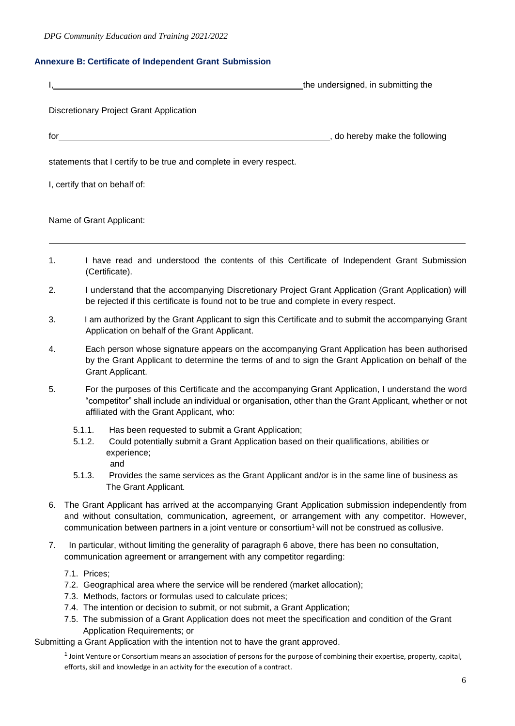#### **Annexure B: Certificate of Independent Grant Submission**

|    | the undersigned, in submitting the                                                                                                                                                                                                                                                                                          |
|----|-----------------------------------------------------------------------------------------------------------------------------------------------------------------------------------------------------------------------------------------------------------------------------------------------------------------------------|
|    | Discretionary Project Grant Application                                                                                                                                                                                                                                                                                     |
|    | for the contract of the contract of the contract of the contract of the contract of the contract of the contract of the contract of the contract of the contract of the contract of the contract of the contract of the contra<br>o do hereby make the following                                                            |
|    | statements that I certify to be true and complete in every respect.                                                                                                                                                                                                                                                         |
|    | I, certify that on behalf of:                                                                                                                                                                                                                                                                                               |
|    | Name of Grant Applicant:                                                                                                                                                                                                                                                                                                    |
| 1. | I have read and understood the contents of this Certificate of Independent Grant Submission<br>(Certificate).                                                                                                                                                                                                               |
| 2. | I understand that the accompanying Discretionary Project Grant Application (Grant Application) will<br>be rejected if this certificate is found not to be true and complete in every respect.                                                                                                                               |
| 3. | I am authorized by the Grant Applicant to sign this Certificate and to submit the accompanying Grant<br>Application on behalf of the Grant Applicant.                                                                                                                                                                       |
| 4. | Each person whose signature appears on the accompanying Grant Application has been authorised<br>by the Grant Applicant to determine the terms of and to sign the Grant Application on behalf of the<br>Grant Applicant.                                                                                                    |
| 5. | For the purposes of this Certificate and the accompanying Grant Application, I understand the word<br>"competitor" shall include an individual or organisation, other than the Grant Applicant, whether or not<br>affiliated with the Grant Applicant, who:                                                                 |
|    | 5.1.1.<br>Has been requested to submit a Grant Application;<br>Could potentially submit a Grant Application based on their qualifications, abilities or<br>5.1.2.<br>experience;<br>and<br>Provides the same services as the Grant Applicant and/or is in the same line of business as<br>5.1.3.                            |
|    | The Grant Applicant.                                                                                                                                                                                                                                                                                                        |
| 6. | The Grant Applicant has arrived at the accompanying Grant Application submission independently from<br>and without consultation, communication, agreement, or arrangement with any competitor. However,<br>communication between partners in a joint venture or consortium <sup>1</sup> will not be construed as collusive. |
| 7. | In particular, without limiting the generality of paragraph 6 above, there has been no consultation,<br>communication agreement or arrangement with any competitor regarding:                                                                                                                                               |
|    | 7.1. Prices;<br>7.2. Geographical area where the service will be rendered (market allocation);                                                                                                                                                                                                                              |

- 7.3. Methods, factors or formulas used to calculate prices;
- 7.4. The intention or decision to submit, or not submit, a Grant Application;
- 7.5. The submission of a Grant Application does not meet the specification and condition of the Grant Application Requirements; or

Submitting a Grant Application with the intention not to have the grant approved.

 $1$  Joint Venture or Consortium means an association of persons for the purpose of combining their expertise, property, capital, efforts, skill and knowledge in an activity for the execution of a contract.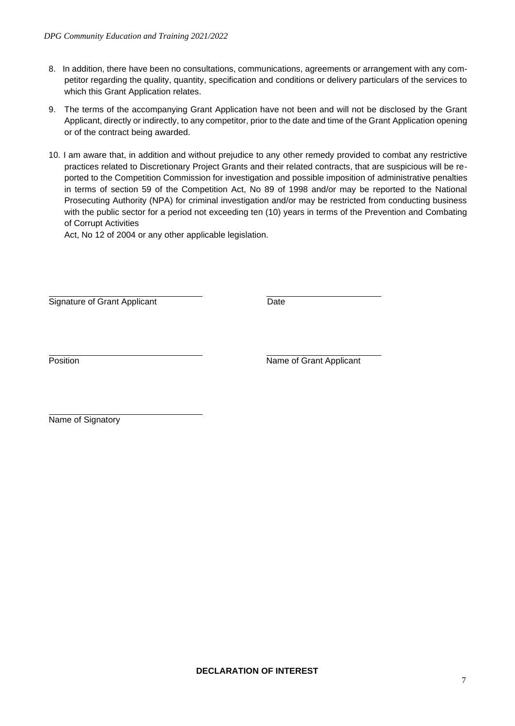- 8. In addition, there have been no consultations, communications, agreements or arrangement with any competitor regarding the quality, quantity, specification and conditions or delivery particulars of the services to which this Grant Application relates.
- 9. The terms of the accompanying Grant Application have not been and will not be disclosed by the Grant Applicant, directly or indirectly, to any competitor, prior to the date and time of the Grant Application opening or of the contract being awarded.
- 10. I am aware that, in addition and without prejudice to any other remedy provided to combat any restrictive practices related to Discretionary Project Grants and their related contracts, that are suspicious will be reported to the Competition Commission for investigation and possible imposition of administrative penalties in terms of section 59 of the Competition Act, No 89 of 1998 and/or may be reported to the National Prosecuting Authority (NPA) for criminal investigation and/or may be restricted from conducting business with the public sector for a period not exceeding ten (10) years in terms of the Prevention and Combating of Corrupt Activities

Act, No 12 of 2004 or any other applicable legislation.

Signature of Grant Applicant **Date** 

Position **Name of Grant Applicant** 

Name of Signatory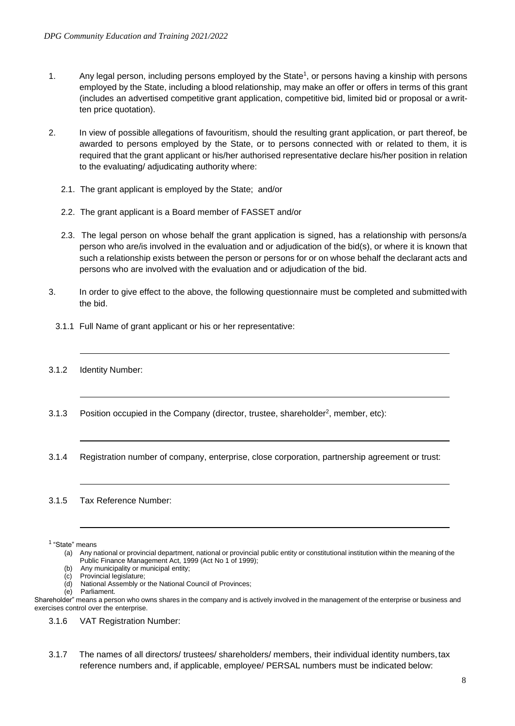- 1. Any legal person, including persons employed by the State<sup>1</sup>, or persons having a kinship with persons employed by the State, including a blood relationship, may make an offer or offers in terms of this grant (includes an advertised competitive grant application, competitive bid, limited bid or proposal or a written price quotation).
- 2. In view of possible allegations of favouritism, should the resulting grant application, or part thereof, be awarded to persons employed by the State, or to persons connected with or related to them, it is required that the grant applicant or his/her authorised representative declare his/her position in relation to the evaluating/ adjudicating authority where:
	- 2.1. The grant applicant is employed by the State; and/or
	- 2.2. The grant applicant is a Board member of FASSET and/or
	- 2.3. The legal person on whose behalf the grant application is signed, has a relationship with persons/a person who are/is involved in the evaluation and or adjudication of the bid(s), or where it is known that such a relationship exists between the person or persons for or on whose behalf the declarant acts and persons who are involved with the evaluation and or adjudication of the bid.
- 3. In order to give effect to the above, the following questionnaire must be completed and submitted with the bid.
	- 3.1.1 Full Name of grant applicant or his or her representative:
- 3.1.2 Identity Number:
- 3.1.3 Position occupied in the Company (director, trustee, shareholder<sup>2</sup>, member, etc):
- 3.1.4 Registration number of company, enterprise, close corporation, partnership agreement or trust:

#### 3.1.5 Tax Reference Number:

1 "State" means

- (a) Any national or provincial department, national or provincial public entity or constitutional institution within the meaning of the Public Finance Management Act, 1999 (Act No 1 of 1999);
- (b) Any municipality or municipal entity;
- (c) Provincial legislature;
- (d) National Assembly or the National Council of Provinces;
- (e) Parliament.

Shareholder" means a person who owns shares in the company and is actively involved in the management of the enterprise or business and exercises control over the enterprise.

3.1.6 VAT Registration Number:

3.1.7 The names of all directors/ trustees/ shareholders/ members, their individual identity numbers,tax reference numbers and, if applicable, employee/ PERSAL numbers must be indicated below: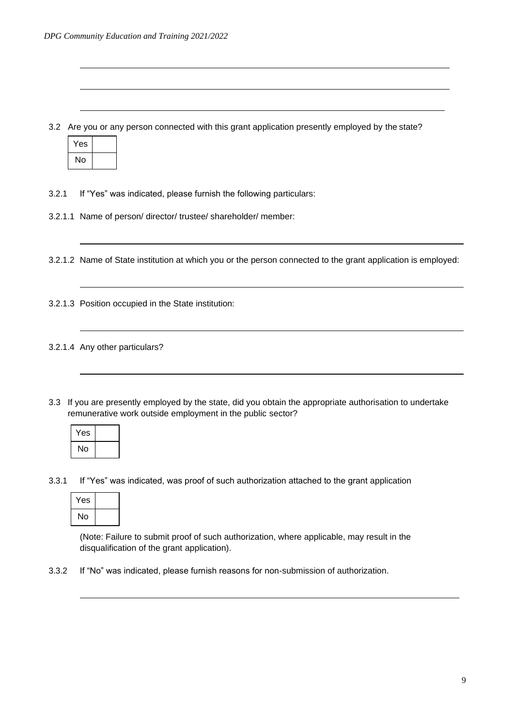3.2 Are you or any person connected with this grant application presently employed by the state?

| Yes |  |
|-----|--|
| No  |  |

- 3.2.1 If "Yes" was indicated, please furnish the following particulars:
- 3.2.1.1 Name of person/ director/ trustee/ shareholder/ member:
- 3.2.1.2 Name of State institution at which you or the person connected to the grant application is employed:
- 3.2.1.3 Position occupied in the State institution:
- 3.2.1.4 Any other particulars?
- 3.3 If you are presently employed by the state, did you obtain the appropriate authorisation to undertake remunerative work outside employment in the public sector?

| Yes |  |
|-----|--|
| No  |  |

3.3.1 If "Yes" was indicated, was proof of such authorization attached to the grant application

| Yes |  |
|-----|--|
| No  |  |

(Note: Failure to submit proof of such authorization, where applicable, may result in the disqualification of the grant application).

3.3.2 If "No" was indicated, please furnish reasons for non-submission of authorization.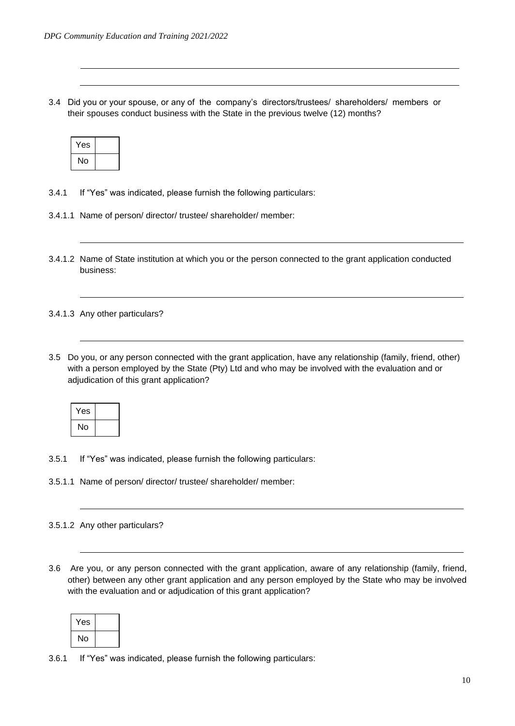3.4 Did you or your spouse, or any of the company's directors/trustees/ shareholders/ members or their spouses conduct business with the State in the previous twelve (12) months?

| Yes |  |
|-----|--|
| No  |  |

- 3.4.1 If "Yes" was indicated, please furnish the following particulars:
- 3.4.1.1 Name of person/ director/ trustee/ shareholder/ member:
- 3.4.1.2 Name of State institution at which you or the person connected to the grant application conducted business:

3.4.1.3 Any other particulars?

3.5 Do you, or any person connected with the grant application, have any relationship (family, friend, other) with a person employed by the State (Pty) Ltd and who may be involved with the evaluation and or adjudication of this grant application?

| Yes |  |
|-----|--|
| No  |  |

- 3.5.1 If "Yes" was indicated, please furnish the following particulars:
- 3.5.1.1 Name of person/ director/ trustee/ shareholder/ member:

#### 3.5.1.2 Any other particulars?

3.6 Are you, or any person connected with the grant application, aware of any relationship (family, friend, other) between any other grant application and any person employed by the State who may be involved with the evaluation and or adjudication of this grant application?

| 'es |  |
|-----|--|
| No  |  |

3.6.1 If "Yes" was indicated, please furnish the following particulars: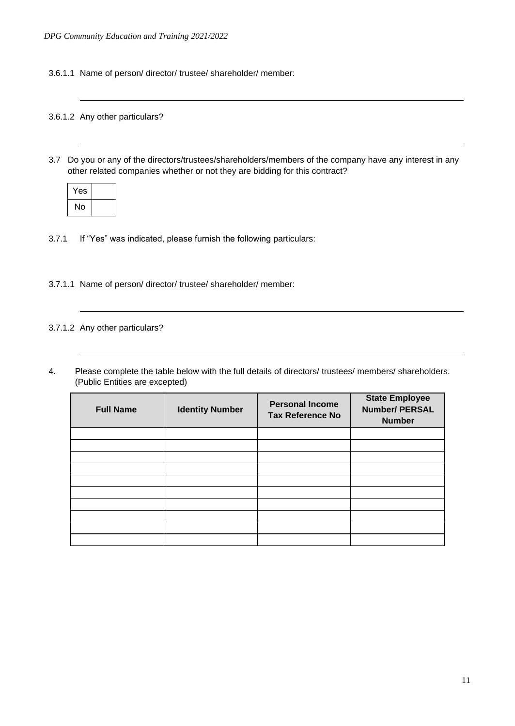3.6.1.1 Name of person/ director/ trustee/ shareholder/ member:

#### 3.6.1.2 Any other particulars?

3.7 Do you or any of the directors/trustees/shareholders/members of the company have any interest in any other related companies whether or not they are bidding for this contract?

| Yes |  |
|-----|--|
| No  |  |

- 3.7.1 If "Yes" was indicated, please furnish the following particulars:
- 3.7.1.1 Name of person/ director/ trustee/ shareholder/ member:

#### 3.7.1.2 Any other particulars?

4. Please complete the table below with the full details of directors/ trustees/ members/ shareholders. (Public Entities are excepted)

| <b>Full Name</b> | <b>Identity Number</b> | <b>Personal Income</b><br><b>Tax Reference No</b> | <b>State Employee</b><br><b>Number/ PERSAL</b><br><b>Number</b> |
|------------------|------------------------|---------------------------------------------------|-----------------------------------------------------------------|
|                  |                        |                                                   |                                                                 |
|                  |                        |                                                   |                                                                 |
|                  |                        |                                                   |                                                                 |
|                  |                        |                                                   |                                                                 |
|                  |                        |                                                   |                                                                 |
|                  |                        |                                                   |                                                                 |
|                  |                        |                                                   |                                                                 |
|                  |                        |                                                   |                                                                 |
|                  |                        |                                                   |                                                                 |
|                  |                        |                                                   |                                                                 |